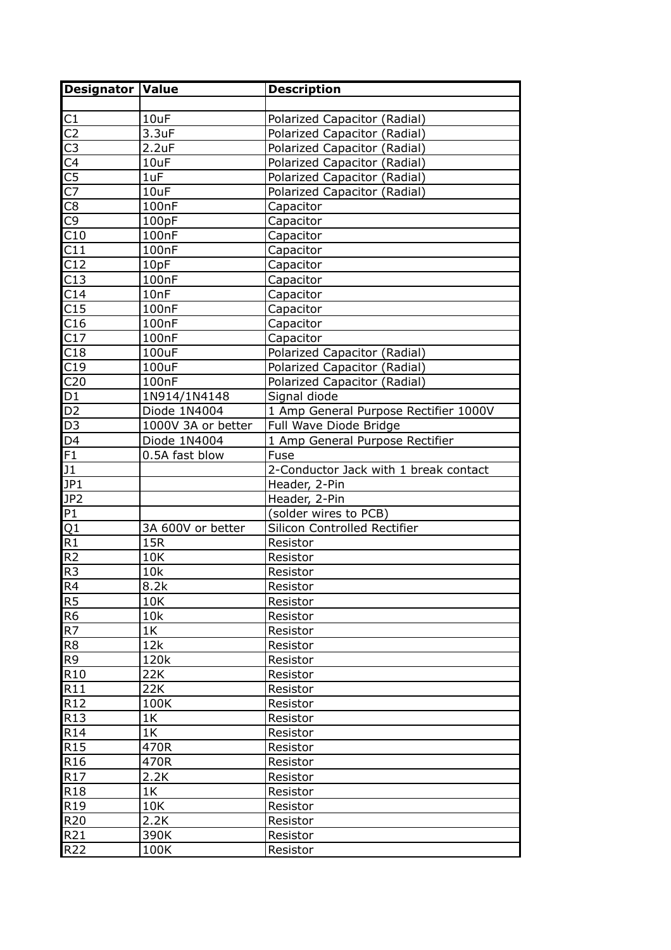| Designator Value       |                    | <b>Description</b>                    |
|------------------------|--------------------|---------------------------------------|
|                        |                    |                                       |
| C1                     | 10uF               | Polarized Capacitor (Radial)          |
| $\overline{C2}$        | 3.3uF              | Polarized Capacitor (Radial)          |
| $\overline{\text{C3}}$ | 2.2uF              | Polarized Capacitor (Radial)          |
| $\underline{C4}$       | 10uF               | Polarized Capacitor (Radial)          |
| $\overline{\text{C5}}$ | 1uF                | Polarized Capacitor (Radial)          |
| $\overline{C}$         | 10uF               | Polarized Capacitor (Radial)          |
| $\overline{C8}$        | 100nF              | Capacitor                             |
| C <sub>9</sub>         | 100pF              | Capacitor                             |
| C10                    | 100 <sub>n</sub> F | Capacitor                             |
| C11                    | 100nF              | Capacitor                             |
| C12                    | 10pF               | Capacitor                             |
| C13                    | 100 <sub>nF</sub>  | Capacitor                             |
| C14                    | 10nF               | Capacitor                             |
| C15                    | 100nF              | Capacitor                             |
| C16                    | 100nF              | Capacitor                             |
| C17                    | 100 <sub>n</sub> F | Capacitor                             |
| C18                    | 100uF              | Polarized Capacitor (Radial)          |
| C19                    | 100uF              | Polarized Capacitor (Radial)          |
| C <sub>20</sub>        | 100 <sub>nF</sub>  | Polarized Capacitor (Radial)          |
| D1                     | 1N914/1N4148       | Signal diode                          |
| D <sub>2</sub>         | Diode 1N4004       | 1 Amp General Purpose Rectifier 1000V |
| $\overline{D3}$        | 1000V 3A or better | Full Wave Diode Bridge                |
| D <sub>4</sub>         | Diode 1N4004       | 1 Amp General Purpose Rectifier       |
| F1                     | 0.5A fast blow     | Fuse                                  |
| J1                     |                    | 2-Conductor Jack with 1 break contact |
| JP1                    |                    | Header, 2-Pin                         |
| JP <sub>2</sub>        |                    | Header, 2-Pin                         |
| P1                     |                    | (solder wires to PCB)                 |
| $\overline{Q1}$        | 3A 600V or better  | Silicon Controlled Rectifier          |
| R1                     | 15R                | Resistor                              |
| R <sub>2</sub>         | 10K                | Resistor                              |
| R <sub>3</sub>         | 10k                | Resistor                              |
| R4                     | 8.2k               | Resistor                              |
| R5                     | 10K                | Resistor                              |
| R6                     | 10k                | Resistor                              |
| R7                     | 1K                 | Resistor                              |
| R <sub>8</sub>         | 12k                | Resistor                              |
| R <sub>9</sub>         | 120k               | Resistor                              |
| R <sub>10</sub>        | 22K                | Resistor                              |
| R11                    | 22K                | Resistor                              |
| R <sub>12</sub>        | 100K               | Resistor                              |
| R <sub>13</sub>        | 1K                 | Resistor                              |
| R <sub>14</sub>        | 1K                 | Resistor                              |
| R <sub>15</sub>        | 470R               | Resistor                              |
| R <sub>16</sub>        | 470R               | Resistor                              |
| R17                    | 2.2K               | Resistor                              |
| R <sub>18</sub>        | 1K                 | Resistor                              |
| R <sub>19</sub>        | 10K                | Resistor                              |
| R20                    | 2.2K               | Resistor                              |
| R21                    | 390K               | Resistor                              |
| R <sub>22</sub>        | 100K               | Resistor                              |
|                        |                    |                                       |